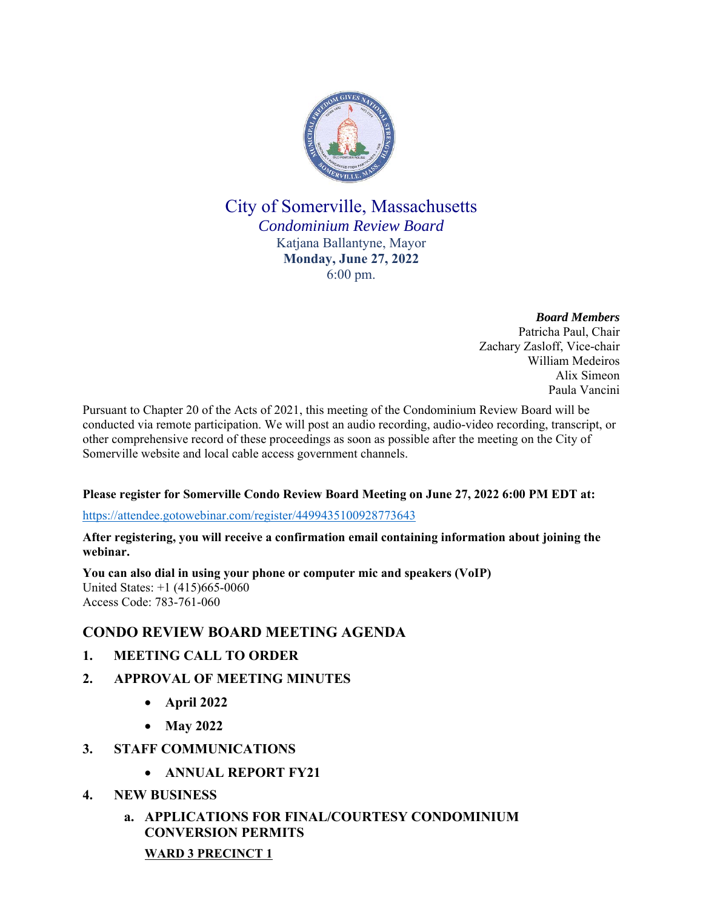

City of Somerville, Massachusetts *Condominium Review Board* Katjana Ballantyne, Mayor **Monday, June 27, 2022** 6:00 pm.

> *Board Members* Patricha Paul, Chair Zachary Zasloff, Vice-chair William Medeiros Alix Simeon Paula Vancini

Pursuant to Chapter 20 of the Acts of 2021, this meeting of the Condominium Review Board will be conducted via remote participation. We will post an audio recording, audio-video recording, transcript, or other comprehensive record of these proceedings as soon as possible after the meeting on the City of Somerville website and local cable access government channels.

## **Please register for Somerville Condo Review Board Meeting on June 27, 2022 6:00 PM EDT at:**

https://attendee.gotowebinar.com/register/4499435100928773643

**After registering, you will receive a confirmation email containing information about joining the webinar.** 

**You can also dial in using your phone or computer mic and speakers (VoIP)** United States: +1 (415)665-0060 Access Code: 783-761-060

# **CONDO REVIEW BOARD MEETING AGENDA**

- **1. MEETING CALL TO ORDER**
- **2. APPROVAL OF MEETING MINUTES**
	- **April 2022**
	- **May 2022**
- **3. STAFF COMMUNICATIONS** 
	- **ANNUAL REPORT FY21**
- **4. NEW BUSINESS**
	- **a. APPLICATIONS FOR FINAL/COURTESY CONDOMINIUM CONVERSION PERMITS WARD 3 PRECINCT 1**